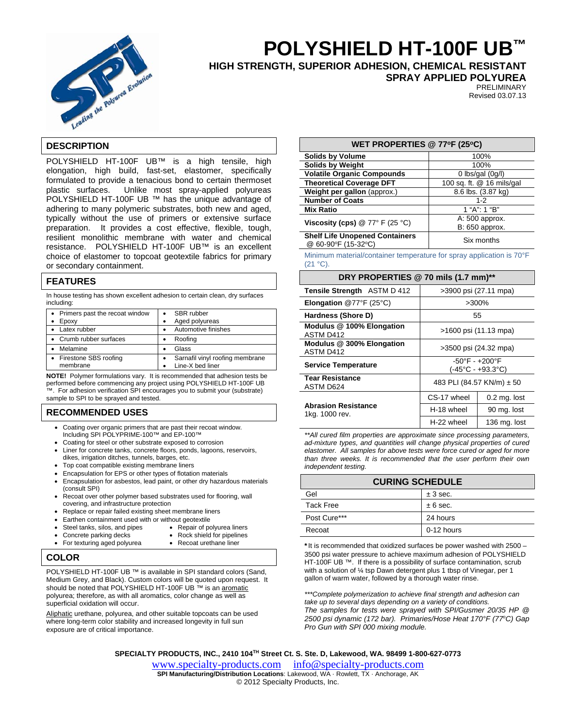

# **POLYSHIELD HT-100F UB™**

**HIGH STRENGTH, SUPERIOR ADHESION, CHEMICAL RESISTANT** 

**SPRAY APPLIED POLYUREA** 

PRELIMINARY Revised 03.07.13

# **DESCRIPTION**

POLYSHIELD HT-100F UB™ is a high tensile, high elongation, high build, fast-set, elastomer, specifically formulated to provide a tenacious bond to certain thermoset plastic surfaces. Unlike most spray-applied polyureas POLYSHIELD HT-100F UB ™ has the unique advantage of adhering to many polymeric substrates, both new and aged, typically without the use of primers or extensive surface preparation. It provides a cost effective, flexible, tough, resilient monolithic membrane with water and chemical resistance. POLYSHIELD HT-100F UB™ is an excellent choice of elastomer to topcoat geotextile fabrics for primary or secondary containment.

# **FEATURES**

In house testing has shown excellent adhesion to certain clean, dry surfaces including:

| • Primers past the recoat window<br>Epoxy | SBR rubber<br>Aged polyureas                        |
|-------------------------------------------|-----------------------------------------------------|
| Latex rubber                              | Automotive finishes                                 |
| • Crumb rubber surfaces                   | Roofing                                             |
| Melamine                                  | Glass                                               |
| • Firestone SBS roofing<br>membrane       | Sarnafil vinyl roofing membrane<br>Line-X bed liner |

**NOTE!** Polymer formulations vary. It is recommended that adhesion tests be performed before commencing any project using POLYSHIELD HT-100F UB ™. For adhesion verification SPI encourages you to submit your (substrate) sample to SPI to be sprayed and tested.

# **RECOMMENDED USES**

- Coating over organic primers that are past their recoat window. Including SPI POLYPRIME-100™ and EP-100™
- Coating for steel or other substrate exposed to corrosion
- Liner for concrete tanks, concrete floors, ponds, lagoons, reservoirs, dikes, irrigation ditches, tunnels, barges, etc.
- Top coat compatible existing membrane liners
- Encapsulation for EPS or other types of flotation materials
- Encapsulation for asbestos, lead paint, or other dry hazardous materials (consult SPI)
- Recoat over other polymer based substrates used for flooring, wall covering, and infrastructure protection
- Replace or repair failed existing sheet membrane liners
	- Earthen containment used with or without geotextile<br>Steel tanks, silos, and pipes Repair of polyurea liners
- $\bullet$  Steel tanks, silos, and pipes
	- Concrete parking decks Rock shield for pipelines
- For texturing aged polyurea Recoat urethane liner
- **COLOR**

POLYSHIELD HT-100F UB ™ is available in SPI standard colors (Sand, Medium Grey, and Black). Custom colors will be quoted upon request. It should be noted that POLYSHIELD HT-100F UB<sup>™</sup> is an aromatic polyurea; therefore, as with all aromatics, color change as well as superficial oxidation will occur.

Aliphatic urethane, polyurea, and other suitable topcoats can be used where long-term color stability and increased longevity in full sun exposure are of critical importance.

| WET PROPERTIES @ 77 $\degree$ F (25 $\degree$ C)             |                                  |  |
|--------------------------------------------------------------|----------------------------------|--|
| <b>Solids by Volume</b>                                      | 100%                             |  |
| <b>Solids by Weight</b>                                      | 100%                             |  |
| <b>Volatile Organic Compounds</b>                            | 0 lbs/gal $(0g/l)$               |  |
| <b>Theoretical Coverage DFT</b>                              | 100 sq. ft. @ 16 mils/gal        |  |
| Weight per gallon (approx.)                                  | 8.6 lbs. (3.87 kg)               |  |
| <b>Number of Coats</b>                                       | $1 - 2$                          |  |
| <b>Mix Ratio</b>                                             | 1 "A": 1 "B"                     |  |
| Viscosity (cps) $@ 77° F (25 °C)$                            | A: 500 approx.<br>B: 650 approx. |  |
| <b>Shelf Life Unopened Containers</b><br>@ 60-90°F (15-32°C) | Six months                       |  |

Minimum material/container temperature for spray application is 70°F  $(21 °C)$ 

# **DRY PROPERTIES @ 70 mils (1.7 mm)\*\***

| Tensile Strength ASTM D 412                  | >3900 psi (27.11 mpa)                                                   |              |
|----------------------------------------------|-------------------------------------------------------------------------|--------------|
| <b>Elongation @77°F (25°C)</b>               | $>300\%$                                                                |              |
| Hardness (Shore D)                           | 55                                                                      |              |
| Modulus @ 100% Elongation<br>ASTM D412       | >1600 psi (11.13 mpa)                                                   |              |
| Modulus @ 300% Elongation<br>ASTM D412       | >3500 psi (24.32 mpa)                                                   |              |
| <b>Service Temperature</b>                   | $-50^{\circ}$ F - $+200^{\circ}$ F<br>$(-45^{\circ}C - +93.3^{\circ}C)$ |              |
| <b>Tear Resistance</b><br>ASTM D624          | 483 PLI (84.57 KN/m) ± 50                                               |              |
| <b>Abrasion Resistance</b><br>1kg. 1000 rev. | CS-17 wheel                                                             | 0.2 mg. lost |
|                                              | H-18 wheel                                                              | 90 mg. lost  |
|                                              | H-22 wheel                                                              | 136 mg. lost |

*\*\*All cured film properties are approximate since processing parameters, ad-mixture types, and quantities will change physical properties of cured elastomer. All samples for above tests were force cured or aged for more than three weeks. It is recommended that the user perform their own independent testing.* 

| <b>CURING SCHEDULE</b> |              |  |
|------------------------|--------------|--|
| Gel                    | ± 3 sec.     |  |
| <b>Tack Free</b>       | $± 6$ sec.   |  |
| Post Cure***           | 24 hours     |  |
| Recoat                 | $0-12$ hours |  |

\*It is recommended that oxidized surfaces be power washed with 2500 – 3500 psi water pressure to achieve maximum adhesion of POLYSHIELD HT-100F UB<sup>™</sup>. If there is a possibility of surface contamination, scrub with a solution of ¼ tsp Dawn detergent plus 1 tbsp of Vinegar, per 1 gallon of warm water, followed by a thorough water rinse.

*\*\*\*Complete polymerization to achieve final strength and adhesion can take up to several days depending on a variety of conditions. The samples for tests were sprayed with SPI/Gusmer 20/35 HP @*  2500 psi dynamic (172 bar). Primaries/Hose Heat 170°F (77°C) Gap *Pro Gun with SPI 000 mixing module.* 

**SPECIALTY PRODUCTS, INC., 2410 104TH Street Ct. S. Ste. D, Lakewood, WA. 98499 1-800-627-0773** 

www.specialty-products.cominfo@specialty-products.com **SPI Manufacturing/Distribution Locations**: Lakewood, WA · Rowlett, TX · Anchorage, AK © 2012 Specialty Products, Inc.